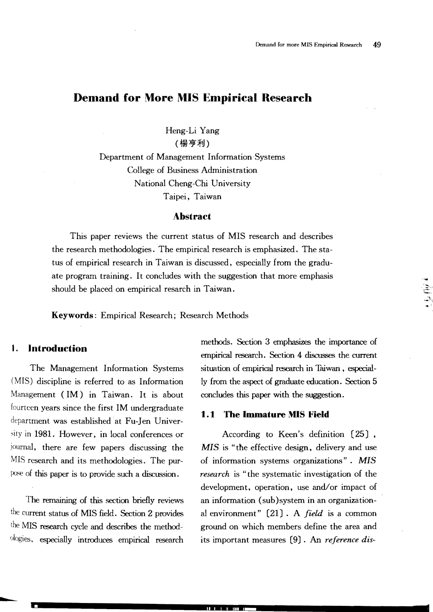# **Demand for More MIS Empirical Research**

Heng-Li Yang (楊亨利)

Department of Management Information -Systems College of Business Administration National Cheng-Chi University Taipei, Taiwan

#### **Abstract**

This paper reviews the current status of MIS research and describes the research methodologies. The empirical research is emphasized. The status of empirical research in Taiwan is discussed, especially from the graduate program training. It concludes with the suggestion that more emphasis should be placed on empirical resarch in Taiwan.

**Keywords:** Empirical Research; Research Methods

• II I I II .1.1.\_

## **1. Introduction**

The Management Information Systems (MIS) discipline is referred to as Information Management  $(IM)$  in Taiwan. It is about fourteen years since the first 1M undergraduate department was established at Fu-Jen Univerin 1981. However, in local conferences or journal, there are few papers discussing the MIS research and its methodologies. The purpose of this paper is to provide such a discussion.

The remaining of this section briefly reviews the Current status of MIS field. Section 2 provides the MIS research cycle and describes the methodologies, especially introduces empirical research methods. Section 3 emphasizes the importance of empirical research. Section 4 discusses the current situation of empirical research in Taiwan, especially from the aspect of graduate education. Section 5 concludes this paper with the suggestion.

......;~i:

#### **1.1 The Immature MIS Field**

According to Keen's definition (25) , *MIS* is "the effective design, delivery and use of information systems organizations". *MIS research* is "the systematic investigation of the development, operation, use and/or impact of an information (sub)system in an organizational environment" (21) . A *field* is a common ground on which members define the area and its important measures (9) . An *reference dis*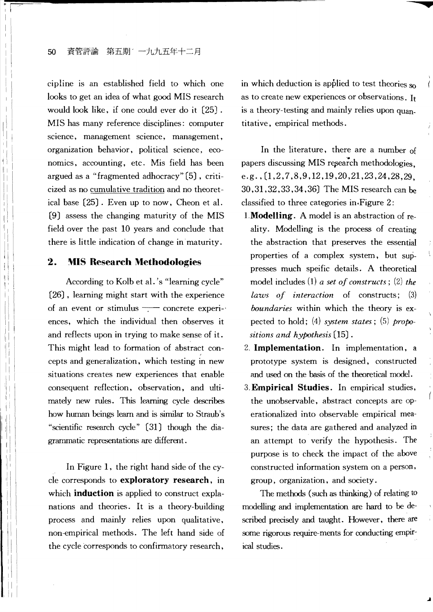## 50 資管評論 第五期 一九九五年十二月

cipline is an established field to which one looks to get an idea of what good MIS research would look like, if one could ever do it  $[25]$ . MIS has many reference disciplines: computer science, management science, management, organization behavior, political science, economics, accounting, etc. Mis field has been argued as a "fragmented adhocracy" (5) , criticized as no cumulative tradition and no theoretical base (25) . Even up to now, Cheon et al. (9) assess the changing maturity of the MIS field over the past 10 years and conclude that there is little indication of change in-maturity.

## **2. !\'lIS Research Methodologies**

According to Kolb et al. 's "learning cycle" (26) , learning might start with the experience of an event or stimulus - concrete experiences, which the individual then observes it and reflects upon in trying to make sense of it. This might lead to formation of abstract concepts and generalization, which testing in new situations creates new experiences that enable consequent reflection, observation, and ultimately new rules. This learning cycle describes how human beings learn and is similar to Straub's "scientific research cycle" (31) though the diagrammatic representations are different.

In Figure 1, the right hand side of the cycle corresponds to **exploratory research,** in which **induction** is applied to construct explanations and theories. It is a theory-building process and mainly relies upon qualitative, non-empirical methods. The left hand side of the cycle corresponds to confirmatory research,

in which deduction is applied to test theories  $s_0$ as to create new experiences or observations. It is a theory-testing and mainly relies upon quantitative, empirical methods.

 $\overline{\phantom{a}}$ 

In the literature, there are a number of papers discussing MIS research methodologies. e.g.,(1,2,7,8,9,12,19,20,21,23,24,28,29, 30,31,32,33,34,36) The MIS research can be classified to three categories in.Figure 2:

- 1. Modelling. A model is an abstraction of reality. Modelling is the process of creating the abstraction that preserves the essential properties of a complex system, but suppresses much speific details. A theoretical model includes (1) *a set of constructs*; (2) *the laws of interaction* of constructs; (3) *boundaries* within which the theory is expected to hold; (4) *system states;* (5) *propositions and hypothesis* (15) .
- 2. **Implementation.** In implementation, a prototype system is designed, constructed and used on the basis of the theoretical model.
- 3. **Empirical Studies.** In empirical studies, the unobservable, abstract concepts are operationalized into observable empirical measures; the data are gathered and analyzed in an attempt to verify the hypothesis. The purpose is to check the impact of the above constructed information system on a person, group, organization, and society.

The methods (such as thinking) of relating to modelling and implementation are hard to be described precisely and taught. However, there are some rigorous require-ments for conducting empirical studies.

.A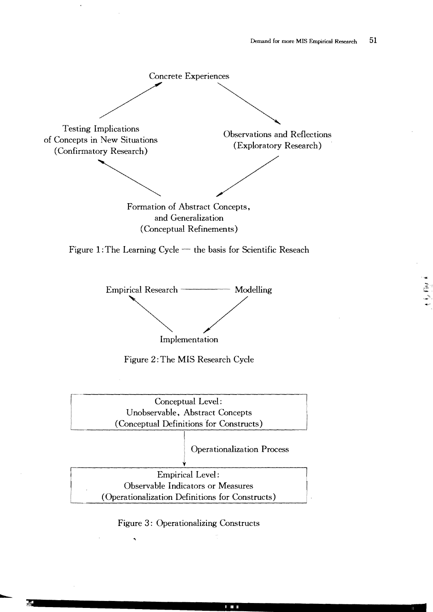$\frac{1}{2}$ 



Figure 3: Operationalizing Constructs

I ill.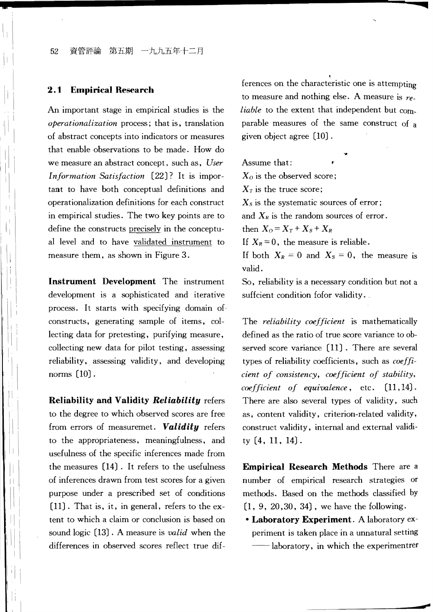#### 52 資管評論 第五期 一九九五年十二月

#### 2. **t Empirical Research**

An important stage in empirical studies is the *operationalization* process; that is, translation of abstract concepts into indicators or measures that enable observations to be made. How do we measure an abstract concept, such as, *User Information Satisfaction* (22J? It is important to have both conceptual definitions and operationalization definitions for each construct in empirical studies. The two key points are to define the constructs precisely in the conceptual level and to have validated instrument to measure them, as shown in Figure 3.

**Instrument Development** The instrument development is a sophisticated and iterative process. It starts with specifying domain of. constructs, generating sample of items, collecting data for pretesting, purifying measure, collecting new data for pilot testing, assessing reliability, assessing validity, and developing norms (10J.

**Reliability and Validity** *Reliability* refers to the degree to which observed scores are free from errors of measuremet. *Validity* refers to the appropriateness, meaningfulness, and usefulness of the specific inferences made from the measures (I4J. It refers to the usefulness of inferences drawn from test scores for a given purpose under a prescribed set of conditions (l1J. That is, in general, refers to the extent to which a claim or conclusion is based on sound logic (13J. A measure is *valid* when the differences in observed scores reflect true dif-

 $\vert \cdot \vert$ 

ferences on the characteristic one is attempting to measure and nothing else. A measure is *re liable* to the extent that independent but comparable measures of the same construct of a given object agree (10J.

Assume that:  $X<sub>o</sub>$  is the observed score;  $X_T$  is the truce score;  $X_s$  is the systematic sources of error; and  $X_R$  is the random sources of error. then  $X_0 = X_T + X_S + X_R$ If  $X_R = 0$ , the measure is reliable. If  $X_R = 0$ , the measure is reliable.<br>If both  $X_R = 0$  and  $X_S = 0$ , the measure is valid.

So, reliability is a necessary condition but not a suffcient condition fofor validity.

The *reliability coefficient* is mathematically defined as the ratio of true score variance to ob served score variance [11]. There are several types of reliability coefficients, such as *coeffi cient of consistency, coefficient of stability, coefficient of equivalence,* etc. (11,14J. There are also several types of validity, such as, content validity, criterion-related validity, construct validity, internal and external validi ty (4, 11, 14J.

**Empirical Research Methods** There are a number of empirical research strategies or methods. Based on the methods classified by  $[1, 9, 20, 30, 34]$ , we have the following.

**• Laboratory Experiment.** A laboratory experiment is taken place in a unnatural setting -laboratory, in which the experimentrer

--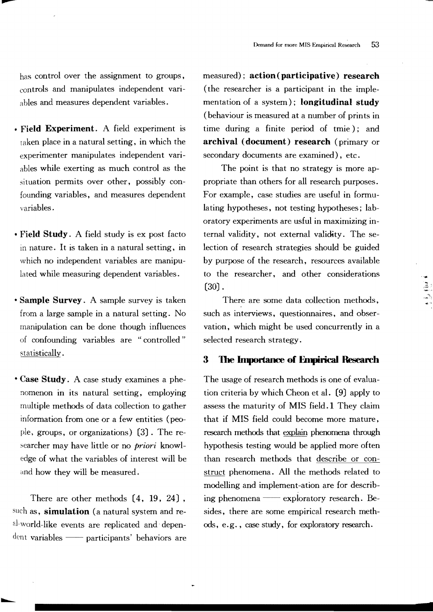has control over the assignment to groups, controls and manipulates independent variables and measures dependent variables.

.........

- Field Experiment. A field experiment is  $t$ aken place in a natural setting, in which the experimenter manipulates independent variables while exerting as much control as the situation permits over other, possibly confounding variables, and measures dependent variables.
- Field Study. A field study is ex post facto in nature. It is taken in a natural setting, in which no independent variables are manipulated while measuring dependent variables.
- Sample Survey. A sample survey is taken from a large sample in a natural setting. No manipulation can be done though influences of confounding variables are "controlled" statistically.
- Case Study. A case study examines a phenomenon in its natural setting, employing multiple methods of data collection to gather information from one or a few entities (people, groups, or organizations) [3]. The researcher may have little or no *priori* knowledge of what the variables of interest will be and how they will be measured.

There are other methods (4, 19. 24) • such as, simulation (a natural system and real-world-like events are replicated and depen-<br><sup>dent</sup> variables —— participants' behaviors are

...........

measured); action(participative) research (the researcher is a participant in the implementation of a system); longitudinal study (behaviour is measured at a number of prints in time during a finite period of tmie); and archival (document) research (primary or secondary documents are examined), etc.

The point is that no strategy is more appropriate than others for all research purposes. For example, case studies are useful in formulating hypotheses, not testing hypotheses; laboratory experiments are usful in maximizing internal validity, not external validity. The selection of research strategies should be guided by purpose of the research, resources available to the researcher, and other considerations (30) .

There are some data collection methods, such as interviews, questionnaires, and observation. which might be used concurrently in a selected research strategy.

 $\begin{bmatrix} 1 & 1 \\ 1 & 1 \\ 1 & 1 \end{bmatrix}$ 

## **3** The Importance of Empirical Research

The usage of research methods is one of evaluation criteria by which Cheon et al. (9) apply to assess the maturity of MIS field. 1 They claim that if MIS field could become more mature, research methods that explain phenomena through hypothesis testing would be applied more often than research methods that describe or construct phenomena. All the methods related to modelling and implement-ation are for describing phenomena — exploratory research. Besides, there are some empirical research methods, e.g., case study, for exploratory research.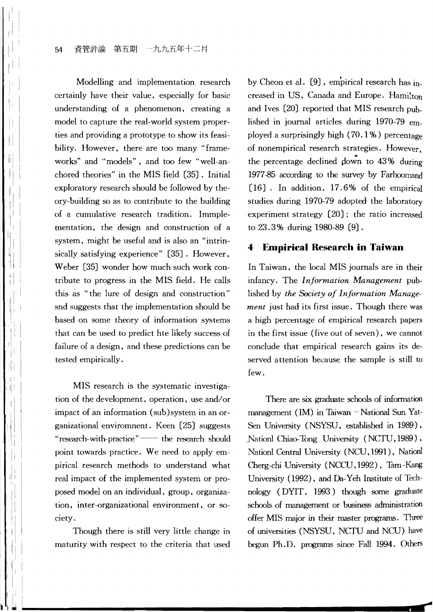Modelling and implementation research certainly have their value, especially for basic understanding of a phenomenon, creating a model to capture the real-world system properties and providing a prototype to show its feasibility. However, there are too many "frameworks" and "models", and too few "well-anchored theories" in the MIS field (35). Initial exploratory research should be followed by theory-building so as to contribute to the building of a cumulative research tradition. Immplementation, the design and construction of a system, might be useful and is also an "intrinsically satisfying experience" (35). However, Weber (35) wonder how much such work contribute to progress in the MIS field. He calls this as "the lure of design and construction" snd suggests that the implementation should be based on some theory of information systems that can be used to predict hte likely success of failure of a design, and these predictions can be tested empirically.

MIS research is the systematic investigation of the development, operation, use and/or impact of an information (sub)system in an organizational enviromnent. Keen (25) suggests "research-with-practice" -- the research should point towards practice. We need to apply empirical research methods to understand what real impact of the implemented system or proposed model on an individual, group, organization, inter-organizational environment, or society.

Though there is still very little change in maturity with respect to the criteria that used by Cheon et a1. (9), empirical research has increased in US, Canada and Europe. Hamilton and Ives (20) reported that MIS research published in journal articles during 1970-79 employed a surprisingly high  $(70.1\%)$  percentage of nonempirical research strategies. However, the percentage declined down to  $43\%$  during 1977-85 according to the survey by Farhoomand (16) . In addition, 17.6% of the empirical studies during 1970-79 adopted the laboratory experiment strategy (20); the ratio increased to 23.3% during 1980-89 (9).

# **4 Empirical Research in Taiwan**

In Taiwan, the local MIS journals are in their infancy. The *Information Management* published by *the Society of Information Management* just had its first issue. Though there was a high percentage of empirical research papers in the first issue (five out of seven), we cannot conclude that empirical research gains its deserved attention because the sample is still to few.

There are six graduate schools of information management (IM) in Taiwan  $-National Sun$  Yat-Sen University (NSYSU, established in 1989), Nationl Chiao-Tong University (NCTU, 1989) , Nationl Central University (NCU, 1991), Nation! Cherg-chi University (NCCU, 1992) , Tam-Kang University (1992), and Da-Yeh Institute of Technology (DYIT, 1993) though some graduate schools of management or business administration offer MIS major in their master programs. Three of universities (NSYSU, NCTU and NCU) have begun Ph.D. programs since Fall 1994. Others

**r**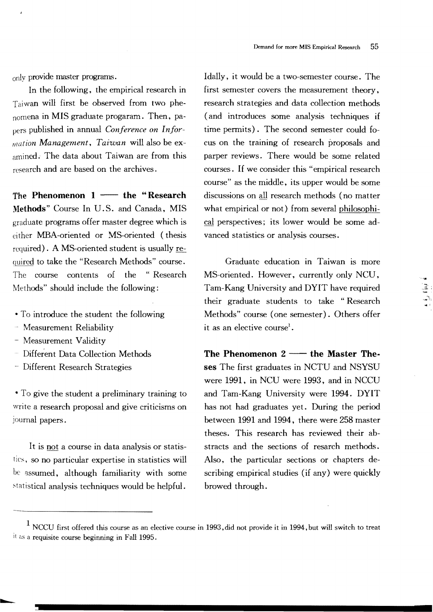only provide master programs.

In the following, the empirical research in Taiwan will first be observed from two phenomena in MIS graduate progaram. Then, papers published in annual *Conference on Information Management, Taiwan* will also be examined. The data about Taiwan are from this research and are based on the archives.

The Phenomenon  $1 \rightarrow$  the "Research Methods" Course In U. S. and Canada, MIS graduate programs offer master degree which is either MBA-oriented or MS-oriented (thesis required). A MS-oriented student is usually required to take the "Research Methods" course. The course contents of the "Research Methods" should include the following:

- To introduce the student the following
- Measurement Reliability
- Measurement Validity

...........

- Different Data Colleetion Methods
- <sup>~</sup>Different Research Strategies

• To give the student a preliminary training to write a research proposal and give criticisms on journal papers.

It is not a course in data analysis or statistics, so no particular expertise in statistics will be assumed, although familiarity with some statistical analysis techniques would be helpful.

Idally, it would be a two-semester course. The first semester covers the measurement theory, research strategies and data collection methods (and introduces some analysis teehniques if time permits). The second semester could cus on the training of research proposals and parper reviews. There would be some related courses. If we consider this "empirical research course" as the middle, its upper would be some discussions on all research methods (no matter what empirical or not) from several philosophiperspectives; its lower would be some advanced statistics or analysis courses.

Graduate education in Taiwan is more MS-oriented. However, currently only NCU,<br>
Tam-Kang University and DYIT have required<br>
their graduate students, to take "Bessent their graduate students to take "Research Methods" course (one semester). Others offer it as an elective course<sup>1</sup>.

The Phenomenon  $2 \longrightarrow$  the Master Theses The first graduates in NCTU and NSYSU were 1991, in NCU were 1993, and in NCCU and Tam-Kang University were 1994. DYIT has not had graduates yet. During the period between 1991 and 1994, there were 258 master theses. This research has reviewed their abstracts and the seetions of resarch methods. Also, the particular sections or chapters describing empirical studies (if any) were quickly browed through.

 $1$  NCCU first offered this course as an elective course in 1993, did not provide it in 1994, but will switch to treat It as a requisite course beginning in Fall 1995.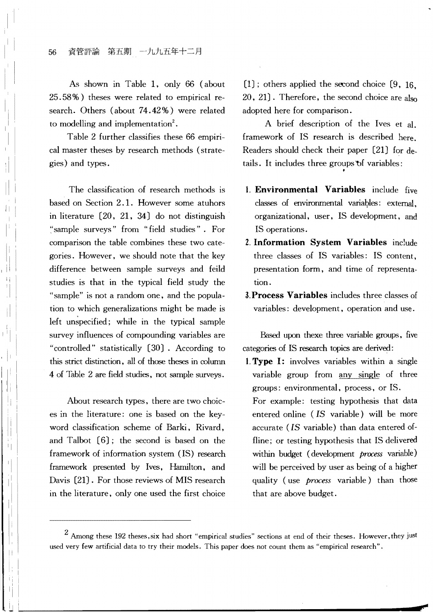As shown in Table 1, only 66 (about 25.58%) theses were related to empirical research. Others (about 74.42%) were related to modelling and implementation<sup>2</sup>.

Table 2 further classifies these 66 empirical master theses by research methods (strategies) and types.

I'

I I

,~

The classification of research methods is based on Section 2.1. However some atuhors in literature [20, 21, 34) do not distinguish ~'sample surveys" from "field studies". For comparison the table combines two categories. However, we should note that the key difference between sample surveys and feild studies is that in the typical field study the "sample" is not a random one, and the population to which generalizations might be made is left unspecified; while in the typical sample survey influences of compounding variables are controlled" statistically (30) . According to this strict distinction. all of those theses in column 4 of Table 2 are field studies, not sample surveys.

About research types, there are two choices in the literature: one is based on the keyword classification scheme of Barki, Rivard, and Talbot [6); the second is based on the framework of information system (IS) research framework presented by Ives, Hamilton, and Davis (21). For those reviews of MIS research in the literature, only one used the first choice

 $[1]$ ; others applied the second choice  $[9, 16]$  $20, 21$ . Therefore, the second choice are also adopted here for comparison.

A brief description of the Ives et al. framework of IS research is described Readers should check their paper (21) for details. It includes three groups of variables:

- 1. **Environmental Variables** include five classes of environmental variables: external, organizational, user, IS development, and IS operations.
- 2. **Information System Variables** include three classes of IS variables: IS content, presentation form, and time of representation.
- **3. Process Variables** includes three classes of variables: development, operation and use.

Based upon thexe three variable groups, five categories of IS research topics are derived:

**1. Type I:** involves variables within a variable group from any single of three groups: environmental. process, or IS. For example: testing hypothesis that data entered online *(IS* variable) will be more accurate *(IS* variable) than data entered of fline; or testing hypothesis that IS delivered within budget (development *process* variable) will be perceived by user as being of a higher quality (use *process* variable) than those that are above budget.

--

<sup>&</sup>lt;sup>2</sup> Among these 192 theses, six had short "empirical studies" sections at end of their theses. However, they just used very few artificial data to try their models. This paper does not count them as "empirical research".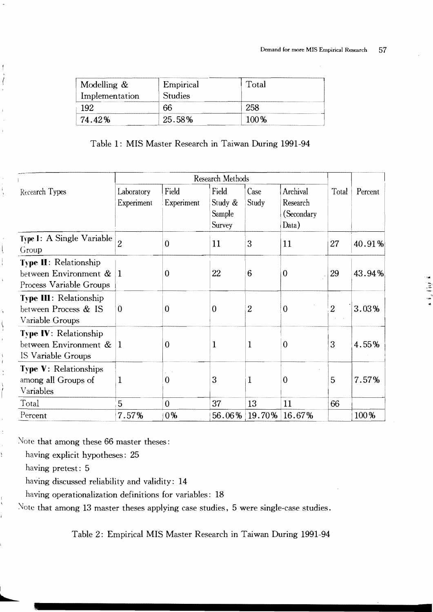| Modelling &<br>Implementation | Empirical<br><b>Studies</b> | Total |  |
|-------------------------------|-----------------------------|-------|--|
| 102                           | 66                          |       |  |
| 74. 42%                       | 25.58%                      | 100%  |  |

Table 1: MIS Master Research in Taiwan During 1991-94

|                                                                                  | Research Methods         |                     |                                             |                |                                             |                |         |
|----------------------------------------------------------------------------------|--------------------------|---------------------|---------------------------------------------|----------------|---------------------------------------------|----------------|---------|
| Recearch Types                                                                   | Laboratory<br>Experiment | Field<br>Experiment | Field<br>Study &<br>Sample<br><b>Survey</b> | Case<br>Study  | Archival<br>Research<br>(Secondary<br>Data) | Total          | Percent |
| Type I: A Single Variable<br>Group                                               | $\overline{2}$           | $\theta$            | 11                                          | 3              | 11                                          | 27             | 40.91%  |
| <b>Type II:</b> Relationship<br>between Environment &<br>Process Variable Groups | $\vert$ 1                | $\mathbf 0$         | 22                                          | 6              | $\theta$                                    | 29             | 43.94%  |
| <b>Type III: Relationship</b><br>between Process & IS<br>Variable Groups         | $\Omega$                 | $\theta$            | $\Omega$                                    | $\overline{2}$ | $\Omega$                                    | $\overline{2}$ | 3.03%   |
| <b>Type IV: Relationship</b><br>between Environment &<br>IS Variable Groups      | $\mathbf 1$              | $\mathbf 0$         | 1                                           | 1              | $\mathbf{0}$                                | 3              | 4.55%   |
| <b>Type V: Relationships</b><br>among all Groups of<br>Variables                 | 1                        | $\theta$            | 3                                           | 1              | $\mathbf 0$                                 | 5              | 7.57%   |
| Total                                                                            | 5                        | $\Omega$            | 37                                          | 13             | 11                                          | 66             |         |
| Percent                                                                          | 7.57%                    | 0%                  | 56.06%                                      | 19.70%         | 16.67%                                      |                | 100%    |

Note that among these 66 master theses:

having explicit hypotheses: 25

having pretest: 5

 $\frac{1}{l}$ 

 $\overline{1}$ 

İ

Ŋ

 $\bar{I}$  $\mathbf{r}$ 

ł,

Ý.

 $\frac{1}{3}$ j. having discussed reliability and validity: 14

having operationalization definitions for variables: 18

Note that among 13 master theses applying case studies, 5 were single-case studies.

Table 2: Empirical MIS Master Research in Taiwan During 1991-94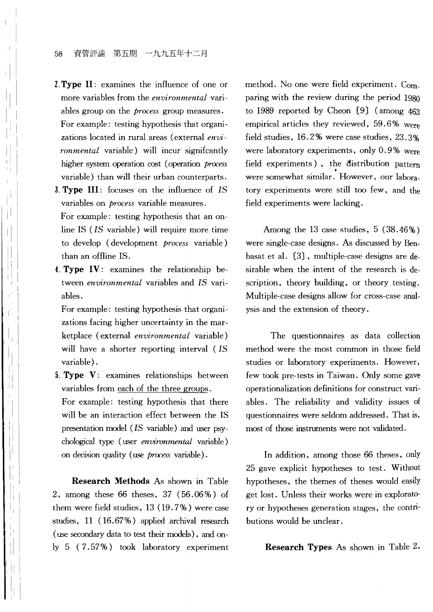#### 58 資管評論 第五期 一九九五年十二月

I I

 $\mathbb{I}$ 

II I: I I <sup>~</sup>I II

, I

 $\mathbf{I}$ 

II

 $\mathbf{I}$ i i II

> I'  $\vert \, \vert$ i I

il I

- 2. **Type II:** examines the influence of one or more variables from the *environmental* variables group on the *process* group measures. For example: testing hypothesis that organizations located in rural areas (external *environmental* variable) will incur signifcantly higher system operation cost (operation *process*  variable) than will their urban counterparts.
- 3. **Type III:** focuses on the influence of *IS*  variables on *process* variable measures. For example: testing hypothesis that an online IS *(IS* variable) will require more time to develop (development *process* variable) than an offline IS.
- 4. Type IV: examines the relationship between *environmental* variables and *IS* variables.

For example: testing hypothesis that organizations facing higher uncertainty in the marketplace (external *environmental* variable) will have a shorter reporting interval *(IS*  variable) .

**5. Type V:** examines relationships between variables from each of the three groups.

For example: testing hypothesis that there will be an interaction effect between the IS presentation model *(IS* variable) and user psychological type (user *environmental* variable) on decision quality (use *process* variable).

**Research Methods** As shown in Table 2, among these 66 theses, 37 (56.06 %) of them were field studies, 13 (19. 7 %) were case studies, 11 (16.67%) applied archival research (use secondary data to test their models), and only 5 (7.57%) took laboratory experiment

method. No one were field experiment. Comparing with the review during the period 1980 to 1989 reported by Cheon (9) (among 463 empirical articles they reviewed, 59.6% were field studies, 16.2 % were case studies, 23.3% were laboratory experiments, only 0.9% were field experiments), the distribution pattern were somewhat similar. However, our laboratory experiments were still too few, and the field experiments were lacking.

Among the 13 case studies,  $5(38.46\%)$ were single-case designs. As discussed by Benbasat et al. (3), multiple-case designs are desirable when the intent of the research is description, theory building, or theory testing. Multiple-case designs allow for cross-case analysis and the extension of theory.

The questionnaires as data collection method were the most common in those field studies or laboratory experiments. However, few took pre-tests in Taiwan. Only some gave operationalization definitions for construct variables. The reliability and validity issues of questionnaires were seldom addressed. That is, most of those instruments were not validated.

In addition, among those 66 theses, only 25 gave explicit hypotheses to test. Without hypotheses, the themes of theses would easily get lost. Unless their works were in exploratory or hypotheses generation stages, the contributions would be unclear.

**Research Types** As shown in Table 2,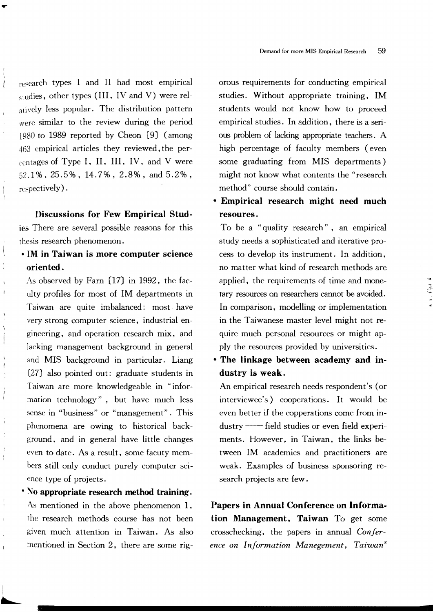research types I and II had most empirical  $_{\text{studies}}$ , other types (III, IV and V) were relatively less popular. The distribution pattern were similar to the review during the period 1980 to 1989 reported by Cheon [9] (among  $463$  empirical articles they reviewed, the per- $\epsilon$  centages of Type I, II, III, IV, and V were 52.1 %, 25.5%, 14.7%, 2.8%, and 5.2% , respectively).

 $\blacktriangledown$ 

 $\dot{\ell}$ 

 $\overline{\phantom{0}}$ 

 $\vec{l}$ 

 $\mathbf{r}$ 

Discussions for Few Empirical Studies There are several possible reasons for this thesis research phenomenon.

# • 1M in Taiwan is more computer science oriented.

As observed by Farn  $[17]$  in 1992, the faculty profiles for most of IM departments in Taiwan are quite imbalanced: most have very strong computer science, industrial engineering, and operation research mix, and lacking management background in general and MIS background in particular. Liang (27J also pointed out: graduate students in Taiwan are more knowledgeable in "information technology", but have much less sense in "business" or "management". This phenomena are owing to historical background, and in general have little changes even to date. As a result, some facuty members still only conduct purely computer science type of projects.

# • No appropriate research method training. As mentioned in the above phenomenon 1, t he research methods course has not been given much attention in Taiwan. As also mentioned in Section 2, there are some rig-

 $\overline{\phantom{a}}$  .

I

orous requirements for conducting empirical studies. Without appropriate training, 1M students would not know how to proceed empirical studies. In addition, there is a serious problem of lacking appropriate teachers. A high percentage of faculty members (even some graduating from MIS departments) might not know what contents the "research method" course should contain.

# • Empirical research might need much resoures.

To be a "quality research", an empirical study needs a sophisticated and iterative process to develop its instrument. In addition, no matter what kind of research methods are applied, the requirements of time and monetary resources on researchers cannot be avoided. In comparison, modelling or implementation in the Taiwanese master level might not require much personal resources or might apply the resources provided by universities.

• The linkage between academy and industry is weak.

An empirical research needs respondent's (or interviewee's) cooperations. It would be even better if the copperations come from industry -- field studies or even field experiments. However. in Taiwan, the links between 1M academics and practitioners are weak. Examples of business sponsoring research projects are few.

Papers in Annual Conference on Information Management, Taiwan To get some crosschecking, the papers in annual *Conference on Information Manegement, Taiwan8*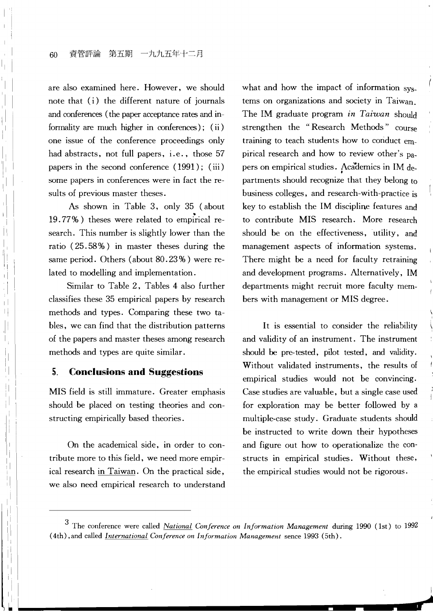l I

, I

'I

ļ.

I I I I I I I I I I I I I I I I I I Ii I

I',

ill I ! I I  $\mathbf{I}$ .1 . II II. ,I i

i,l

I I

l I l i Ii Ii,  $\mathbb{I}$ 

> Iii ~ I

are also examined here. However, we should note that (i) the different nature of journals and conferences (the paper acceptance rates and informality are much higher in conferences); ( ii ) one issue of the conference proceedings only had abstracts, not full papers, i.e., those 57 papers in the second conference (1991); (iii) some papers in conferences were in fact the results of previous master theses.

As shown in Table 3, only 35 (about 19.77%) theses were related to empirical research. This number is slightly lower than the ratio (25.58%) in master theses during the same period. Others (about 80.23 %) were related to modelling and implementation.

Similar to Table 2, Tables 4 also further classifies these 35 empirical papers by research methods and types. Comparing these two tables, we can find that the distribution patterns of the papers and master theses among research methods and types are quite similar.

## 5. **Conclusions and Suggestions**

MIS field is still immature. Greater emphasis should be placed on testing theories and constructing empirically based theories.

On the academical side, in order to contribute more to this field, we need more empirical research in Taiwan. On the practical side, we also need empirical research to understand

what and how the impact of information systems on organizations and society in Taiwan. The 1M graduate program *in Taiwan* should strengthen the "Research Methods" course training to teach students how to conduct empirical research and how to review other's papers on empirical studies. Academics in IM departments should recognize that they belong to business colleges, and research-with-practice is key to establish the 1M discipline features and to contribute MIS research. More research should be on the effectiveness, utility, and management aspects of information systems. There might be a need for faculty retraining and development programs. Alternatively, 1M departments might recruit more faculty members with management or MIS degree.

It is essential to consider the reliability and validity of an instrument. The instrument should be pre-tested, pilot tested, and validity. Without validated instruments, the results of empirical studies would not be convincing. Case studies are valuable, but a single case used for exploration may be better followed by a multiple-case study. Graduate students should be instructed to write down their hypotheses and figure out how to operationalize the constructs in empirical studies. Without these, the empirical studies would not be rigorous.

> **,... F** I

3 The conference were called *National Conference on Information Management* during 1990 (lst) to 1992 (4th) ,and called *International Conference on Information Management* sence 1993 (5th).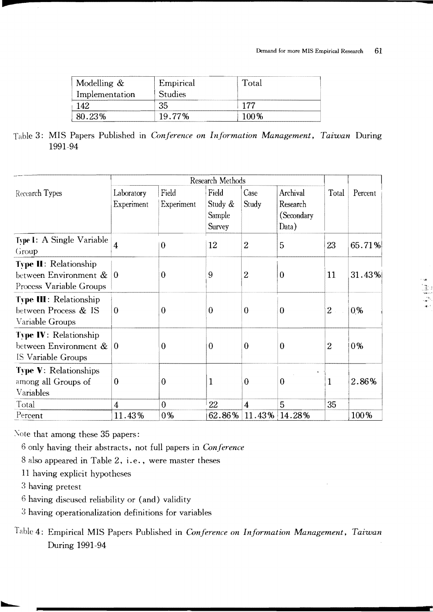.

| Modelling $&$         | Empirical<br><b>Studies</b> | Total |  |
|-----------------------|-----------------------------|-------|--|
| Implementation<br>142 | 35                          | 177   |  |
|                       | 19.77%                      | 1ሰ0%  |  |

3: MIS Papers Published in *Gmference on Information Management. Taiwan* During 1991-94

|                                                                                  | Research Methods                   |                      |                                             |                |                                             |                  |         |
|----------------------------------------------------------------------------------|------------------------------------|----------------------|---------------------------------------------|----------------|---------------------------------------------|------------------|---------|
| Recearch Types                                                                   | Laboratory<br>Experiment           | Field<br>Experiment  | Field<br>Study &<br>Sample<br><b>Survey</b> | Case<br>Study  | Archival<br>Research<br>(Secondary<br>Data) | Total            | Percent |
| Type I: A Single Variable<br>Group                                               | 4                                  | $\bf{0}$             | 12                                          | 2              | 5                                           | 23               | 65.71%  |
| <b>Type II:</b> Relationship<br>between Environment &<br>Process Variable Groups | 10                                 | $\theta$             | 9                                           | $\overline{2}$ | $\overline{0}$                              | 11               | 31.43%  |
| <b>Type III: Relationship</b><br>between Process & IS<br>Variable Groups         | $\theta$                           | 0                    | $\theta$                                    | 0              | $\theta$                                    | $2 -$            | $0\%$   |
| <b>Type IV: Relationship</b><br>between Environment &<br>IS Variable Groups      | $\Omega$                           | $\theta$             | $\theta$                                    | $\theta$       | $\theta$                                    | $\boldsymbol{2}$ | 0%      |
| <b>Type V: Relationships</b><br>among all Groups of<br>Variables                 | $\theta$                           | $\theta$             | 1                                           | $\theta$       | $\bf{0}$                                    | 1                | 2.86%   |
| Total<br>Percent                                                                 | $\overline{\mathcal{A}}$<br>11.43% | $\overline{0}$<br>0% | 22<br>62.86%                                | 4<br>$11.43\%$ | 5<br>14.28%                                 | 35               | 100%    |

Note that among these 35 papers:

6 only having their abstracts, not full papers in *Conference* 

8 also appeared in Table 2, i. e., were master theses

11 having explicit hypotheses

3 having pretest

~

-

 $6$  having discused reliability or (and) validity

3 having operationalization definitions for variables

Table 4: Empirical MIS Papers Published in *Conference on Information Management, Taiwan* During 1991-94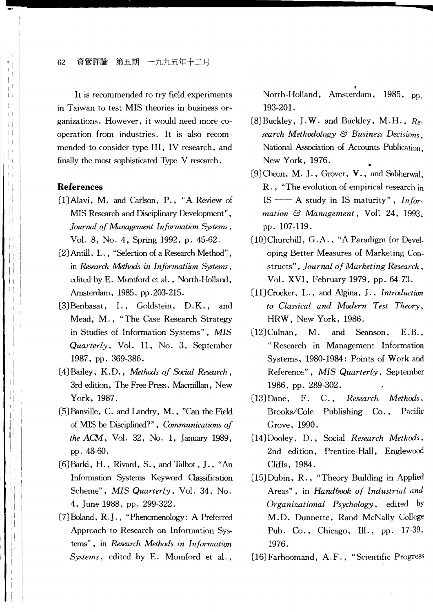62 資管評論 第五期 一九九五年十二月

It is recommended to try field experiments in Taiwan to test MIS theories in business organizations. However, it would need more cooperation from industries. It is also recommended to consider type III, IV research, and finally the most sophisticated Type V research.

## **References**

- (1) Alavi, M. and Carlson, P., "A Review of MIS Research and Disciplinary Development" , *Journal of Management Information Systems ,*  Vol. 8, No.4, Spring 1992, p. 45-62.
- (2) Antill, L., "Selection of a Research Method", in *Research Methods in Informatiion Systems*, edited by E. Mumford et al., North-Holland, Amsterdam, 1985, pp.203-215.
- (3) Benbasat, 1., Goldstein, D.K., and Mead, M., "The Case Research Strategy in Studies of Information Systems", *MIS Quarterly,* Vol. 11, No.3, September 1987, pp. 369-386.
- (4) Bailey, K.D., *Metlwds of Social Research,*  3rd edition, The Free Press, Macmillan, New York, 1987.
- (5) Banville, C. and Landry, M., "Can the Field of MIS be Disciplined?", *Gnnmunications of the ACM,* Vol. 32, No. 1, January 1989, pp.48-60.
- [6] Barki, H., Rivard, S., and Talbot, J., "An Information Systems Keyword Classification Scheme", *MIS Quarterly,* Vol. 34, No. 4, June 1988, pp. 299-322.
- (7) Boland, R.J .• "Phenomenology: A Preferred Approach to Research on Information Systems", in *Research Metlwds in Infarmation Systems,* edited by E. Mumford et al..

.<br>North-Holland, Amsterdam, 1985, <sub>pp.</sub> 193-201.

...........

- (8)Buckley, J.W. and Buckley, M.H., *Research Methodology* &3 *Business Decisions,*  National Association of Accounts Publication. New York. 1976.
- (9) Cheon, M. J., Grover, V., and Sabherwal, R., "The evolution of empirical research in IS  $\longrightarrow$  A study in IS maturity", *Information* &3 *Management,* Vol: 24, 1993. pp. 107-119.
- (10) Churchill, G.A., "A Paradigm for Developing Better Measures of Marketing Constructs", *Journal of Marketing Research*, Vol. XVI, February 1979, pp. 64-73.
- (11) Crocker, L., and Algina, J., *Introduction to Classical and Modern Test Theory,*  HRW, New York, 1986.
- (12)Culnan, M. and Seanson, E.B., "Research in Management Information Systems, 1980-1984: Points of Work and Reference", *MIS Quarterly,* September 1986, pp. 289-302.
- (13) Dane, F. C., *Research Metluxls,*  Brooks/Cole Publishing Co., Pacific Grove, 1990.
- (14) Dooley , D., Social *Research Methods,*  2nd edition, Prentice-Hall, Englewood Cliffs, 1984.
- (15) Dubin, R., "Theory Building in Applied Areas", in *Handbook of Industrial and Organizational Psychology,* edited by M.D. Dunnette, Rand McNally College Pub. Co., Chicago, Ill., pp. 17-39, 1976.
- (16) Farhoomand, A.F., "Scientific Progress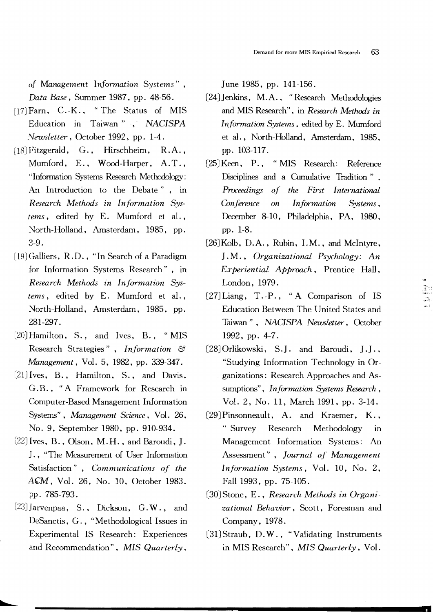of *Management* Information *Systems" , Data Base,* Summer 1987, pp. 48-56.

- $[17]$  Farn, C.-K., "The Status of MIS Education in Taiwan" .' *NACISPA Newsletter,* October 1992, pp. 1-4.
- [18] Fitzgerald, G., Hirschheim, R.A., Mumford, E., Wood-Harper, A.T.• "Information Systems Research Methodology: An Introduction to the Debate" , in *Research Methods in Information Sys terns,* edited by E. Mumford et al., North-Holland, Amsterdam, 1985. pp. 3-9.
- [19] Galliers, R.D., "In Search of a Paradigm for Information Systems Research", in *Research Methods in Information Sys tems*, edited by E. Mumford et al., North-Holland. Amsterdam. 1985. pp. 281-297.
- Hamilton. S.. and Ives. B.. "MIS Research Strategies". *Information* {:3 *Management,* Vol. 5. 1982. pp. 339-347.
- $[21]$  Ives, B., Hamilton, S., and Davis, G.B., "A Framework for Research in Computer-Based Management Information Systems", *Managernent Science,* Vol. 26. No.9, September 1980, pp. 910-934.
- $[22]$  Ives, B., Olson, M.H., and Baroudi, J. J., "The Measurement of User Information Satisfaction", *Communications of the*  ACM, Vol. 26, No. 10, October 1983, pp. 785-793.
- $[23]$ Jarvenpaa, S., Dickson, G.W., and DeSanctis, G., "Methodological Issues in Experimental IS Research: Experiences and Recommendation", *MIS Quarterly,*

June 1985, pp. 141-156.

- [24] Jenkins, M.A., "Research Methodologies and MIS Research", in *Research Methods in Information Systems, edited by E. Mumford* et al., North-Holland, Amsterdam, 1985. pp. 103-117.
- (25JKeen. P., "MIS Research: Reference Disciplines and a Cumulative Tradition" , *Proceedings of the Hrst International Conference on Information S:ystems,*  December 8-10, Philadelphia, PA, 1980, pp. 1-8.
- London, 1979.  $[26]$ Kolb, D.A., Rubin, I.M., and McIntyre, 1 . M.. *Organizational Psychology: An Experiential Approach.* Prentice Hall.
- (27J Liang. T. -P., "A Comparison of IS Education Between The United States and Taiwan". *NACISPA Newsletter.* October 1992. pp. 4-7.

:;"

- (28J Orlikowski, S.l. and Baroudi, 1.1., "Studying Information Technology in Organizations: Research Approaches and Assumptions", *Information Systems Research*, Vol. 2. No. 11, March 1991, pp. 3-14.
- (29JPinsonneault, A. and Kraemer. K., "Survey Research Methodology in Management Information Systems: An Assessment" , *Journal of Management Information Systems, Vol. 10, No. 2,* Fall 1993, pp. 75-105.
- (30JStone, E., *Research Methods in Organizational Behavior,*  Scott, Foresman and Company, 1978.
- (31JStraub, D.W., "Validating Instruments in MIS Research", *MIS Quarterly,* Vol.